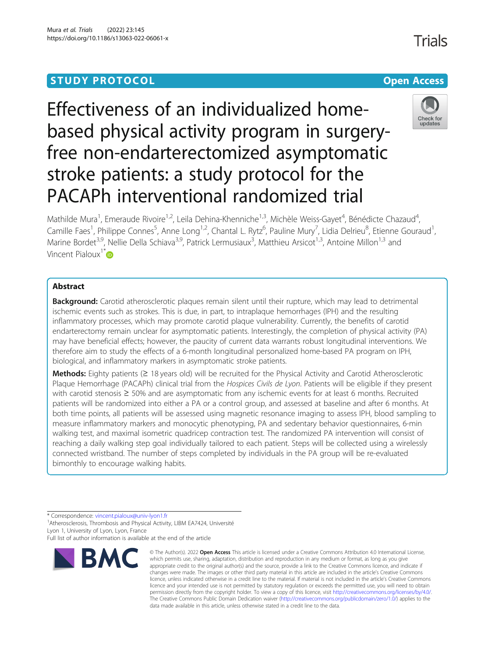## **STUDY PROTOCOL CONSUMING THE CONSUMING OPEN ACCESS**

# Effectiveness of an individualized homebased physical activity program in surgeryfree non-endarterectomized asymptomatic stroke patients: a study protocol for the PACAPh interventional randomized trial



Mathilde Mura<sup>1</sup>, Emeraude Rivoire<sup>1,2</sup>, Leila Dehina-Khenniche<sup>1,3</sup>, Michèle Weiss-Gayet<sup>4</sup>, Bénédicte Chazaud<sup>4</sup> , Camille Faes<sup>1</sup>, Philippe Connes<sup>5</sup>, Anne Long<sup>1,2</sup>, Chantal L. Rytz<sup>6</sup>, Pauline Mury<sup>7</sup>, Lidia Delrieu<sup>8</sup>, Etienne Gouraud<sup>1</sup> , Marine Bordet<sup>3,9</sup>, Nellie Della Schiava<sup>3,9</sup>, Patrick Lermusiaux<sup>3</sup>, Matthieu Arsicot<sup>1,3</sup>, Antoine Millon<sup>1,3</sup> and Vincent Pialoux<sup>1\*</sup> $\omega$ 

## Abstract

**Background:** Carotid atherosclerotic plaques remain silent until their rupture, which may lead to detrimental ischemic events such as strokes. This is due, in part, to intraplaque hemorrhages (IPH) and the resulting inflammatory processes, which may promote carotid plaque vulnerability. Currently, the benefits of carotid endarterectomy remain unclear for asymptomatic patients. Interestingly, the completion of physical activity (PA) may have beneficial effects; however, the paucity of current data warrants robust longitudinal interventions. We therefore aim to study the effects of a 6-month longitudinal personalized home-based PA program on IPH, biological, and inflammatory markers in asymptomatic stroke patients.

Methods: Eighty patients ( $\geq$  18 years old) will be recruited for the Physical Activity and Carotid Atherosclerotic Plaque Hemorrhage (PACAPh) clinical trial from the Hospices Civils de Lyon. Patients will be eligible if they present with carotid stenosis ≥ 50% and are asymptomatic from any ischemic events for at least 6 months. Recruited patients will be randomized into either a PA or a control group, and assessed at baseline and after 6 months. At both time points, all patients will be assessed using magnetic resonance imaging to assess IPH, blood sampling to measure inflammatory markers and monocytic phenotyping, PA and sedentary behavior questionnaires, 6-min walking test, and maximal isometric quadricep contraction test. The randomized PA intervention will consist of reaching a daily walking step goal individually tailored to each patient. Steps will be collected using a wirelessly connected wristband. The number of steps completed by individuals in the PA group will be re-evaluated bimonthly to encourage walking habits.

\* Correspondence: [vincent.pialoux@univ-lyon1.fr](mailto:vincent.pialoux@univ-lyon1.fr) <sup>1</sup>

<sup>1</sup> Atherosclerosis, Thrombosis and Physical Activity, LIBM EA7424, Université Lyon 1, University of Lyon, Lyon, France

Full list of author information is available at the end of the article



<sup>©</sup> The Author(s), 2022 **Open Access** This article is licensed under a Creative Commons Attribution 4.0 International License, which permits use, sharing, adaptation, distribution and reproduction in any medium or format, as long as you give appropriate credit to the original author(s) and the source, provide a link to the Creative Commons licence, and indicate if changes were made. The images or other third party material in this article are included in the article's Creative Commons licence, unless indicated otherwise in a credit line to the material. If material is not included in the article's Creative Commons licence and your intended use is not permitted by statutory regulation or exceeds the permitted use, you will need to obtain permission directly from the copyright holder. To view a copy of this licence, visit [http://creativecommons.org/licenses/by/4.0/.](http://creativecommons.org/licenses/by/4.0/) The Creative Commons Public Domain Dedication waiver [\(http://creativecommons.org/publicdomain/zero/1.0/](http://creativecommons.org/publicdomain/zero/1.0/)) applies to the data made available in this article, unless otherwise stated in a credit line to the data.

Trials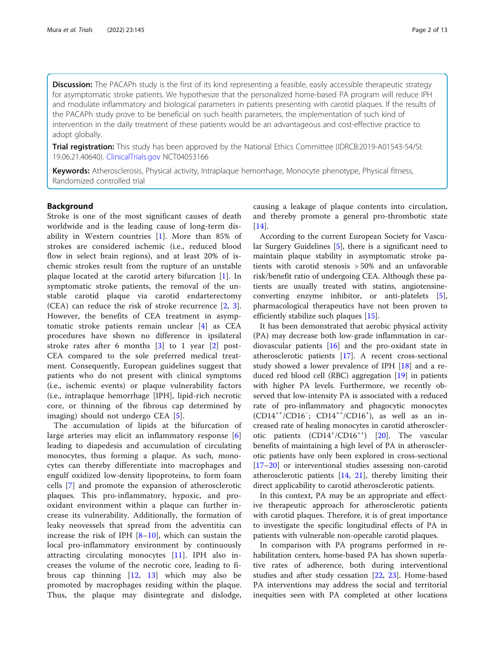Discussion: The PACAPh study is the first of its kind representing a feasible, easily accessible therapeutic strategy for asymptomatic stroke patients. We hypothesize that the personalized home-based PA program will reduce IPH and modulate inflammatory and biological parameters in patients presenting with carotid plaques. If the results of the PACAPh study prove to be beneficial on such health parameters, the implementation of such kind of intervention in the daily treatment of these patients would be an advantageous and cost-effective practice to adopt globally.

Trial registration: This study has been approved by the National Ethics Committee (IDRCB:2019-A01543-54/SI: 19.06.21.40640). [ClinicalTrials.gov](http://clinicaltrials.gov) NCT04053166

Keywords: Atherosclerosis, Physical activity, Intraplaque hemorrhage, Monocyte phenotype, Physical fitness, Randomized controlled trial

## Background

Stroke is one of the most significant causes of death worldwide and is the leading cause of long-term disability in Western countries [[1\]](#page-10-0). More than 85% of strokes are considered ischemic (i.e., reduced blood flow in select brain regions), and at least 20% of ischemic strokes result from the rupture of an unstable plaque located at the carotid artery bifurcation [[1](#page-10-0)]. In symptomatic stroke patients, the removal of the unstable carotid plaque via carotid endarterectomy (CEA) can reduce the risk of stroke recurrence [[2,](#page-10-0) [3](#page-10-0)]. However, the benefits of CEA treatment in asymptomatic stroke patients remain unclear [[4\]](#page-10-0) as CEA procedures have shown no difference in ipsilateral stroke rates after 6 months [[3\]](#page-10-0) to 1 year [\[2](#page-10-0)] post-CEA compared to the sole preferred medical treatment. Consequently, European guidelines suggest that patients who do not present with clinical symptoms (i.e., ischemic events) or plaque vulnerability factors (i.e., intraplaque hemorrhage [IPH], lipid-rich necrotic core, or thinning of the fibrous cap determined by imaging) should not undergo CEA [[5\]](#page-10-0).

The accumulation of lipids at the bifurcation of large arteries may elicit an inflammatory response [\[6](#page-10-0)] leading to diapedesis and accumulation of circulating monocytes, thus forming a plaque. As such, monocytes can thereby differentiate into macrophages and engulf oxidized low-density lipoproteins, to form foam cells [\[7](#page-10-0)] and promote the expansion of atherosclerotic plaques. This pro-inflammatory, hypoxic, and prooxidant environment within a plaque can further increase its vulnerability. Additionally, the formation of leaky neovessels that spread from the adventitia can increase the risk of IPH  $[8-10]$  $[8-10]$  $[8-10]$  $[8-10]$ , which can sustain the local pro-inflammatory environment by continuously attracting circulating monocytes [[11\]](#page-11-0). IPH also increases the volume of the necrotic core, leading to fibrous cap thinning [[12](#page-11-0), [13](#page-11-0)] which may also be promoted by macrophages residing within the plaque. Thus, the plaque may disintegrate and dislodge,

causing a leakage of plaque contents into circulation, and thereby promote a general pro-thrombotic state [[14\]](#page-11-0).

According to the current European Society for Vascular Surgery Guidelines [[5](#page-10-0)], there is a significant need to maintain plaque stability in asymptomatic stroke patients with carotid stenosis > 50% and an unfavorable risk/benefit ratio of undergoing CEA. Although these patients are usually treated with statins, angiotensineconverting enzyme inhibitor, or anti-platelets [\[5](#page-10-0)], pharmacological therapeutics have not been proven to efficiently stabilize such plaques [[15\]](#page-11-0).

It has been demonstrated that aerobic physical activity (PA) may decrease both low-grade inflammation in cardiovascular patients [\[16](#page-11-0)] and the pro-oxidant state in atherosclerotic patients [\[17](#page-11-0)]. A recent cross-sectional study showed a lower prevalence of IPH [[18](#page-11-0)] and a reduced red blood cell (RBC) aggregation [[19\]](#page-11-0) in patients with higher PA levels. Furthermore, we recently observed that low-intensity PA is associated with a reduced rate of pro-inflammatory and phagocytic monocytes (CD14++/CD16<sup>−</sup> ; CD14++/CD16+ ), as well as an increased rate of healing monocytes in carotid atheroscler-otic patients (CD14<sup>+</sup>/CD16<sup>++</sup>) [[20](#page-11-0)]. The vascular benefits of maintaining a high level of PA in atherosclerotic patients have only been explored in cross-sectional [[17](#page-11-0)–[20](#page-11-0)] or interventional studies assessing non-carotid atherosclerotic patients [\[14,](#page-11-0) [21\]](#page-11-0), thereby limiting their direct applicability to carotid atherosclerotic patients.

In this context, PA may be an appropriate and effective therapeutic approach for atherosclerotic patients with carotid plaques. Therefore, it is of great importance to investigate the specific longitudinal effects of PA in patients with vulnerable non-operable carotid plaques.

In comparison with PA programs performed in rehabilitation centers, home-based PA has shown superlative rates of adherence, both during interventional studies and after study cessation [[22,](#page-11-0) [23](#page-11-0)]. Home-based PA interventions may address the social and territorial inequities seen with PA completed at other locations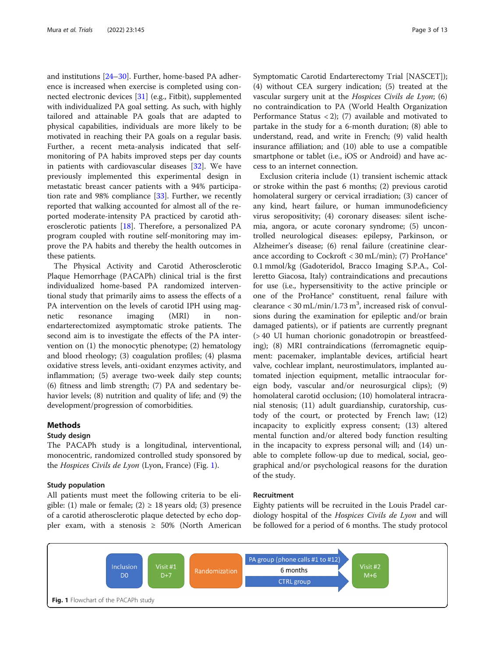<span id="page-2-0"></span>and institutions [[24](#page-11-0)–[30](#page-11-0)]. Further, home-based PA adherence is increased when exercise is completed using connected electronic devices [\[31](#page-11-0)] (e.g., Fitbit), supplemented with individualized PA goal setting. As such, with highly tailored and attainable PA goals that are adapted to physical capabilities, individuals are more likely to be motivated in reaching their PA goals on a regular basis. Further, a recent meta-analysis indicated that selfmonitoring of PA habits improved steps per day counts in patients with cardiovascular diseases [[32\]](#page-11-0). We have previously implemented this experimental design in metastatic breast cancer patients with a 94% participation rate and 98% compliance [\[33\]](#page-11-0). Further, we recently reported that walking accounted for almost all of the reported moderate-intensity PA practiced by carotid atherosclerotic patients [[18\]](#page-11-0). Therefore, a personalized PA program coupled with routine self-monitoring may improve the PA habits and thereby the health outcomes in these patients.

The Physical Activity and Carotid Atherosclerotic Plaque Hemorrhage (PACAPh) clinical trial is the first individualized home-based PA randomized interventional study that primarily aims to assess the effects of a PA intervention on the levels of carotid IPH using magnetic resonance imaging (MRI) in nonendarterectomized asymptomatic stroke patients. The second aim is to investigate the effects of the PA intervention on (1) the monocytic phenotype; (2) hematology and blood rheology; (3) coagulation profiles; (4) plasma oxidative stress levels, anti-oxidant enzymes activity, and inflammation; (5) average two-week daily step counts; (6) fitness and limb strength; (7) PA and sedentary behavior levels; (8) nutrition and quality of life; and (9) the development/progression of comorbidities.

## **Methods**

## Study design

The PACAPh study is a longitudinal, interventional, monocentric, randomized controlled study sponsored by the Hospices Civils de Lyon (Lyon, France) (Fig. 1).

#### Study population

All patients must meet the following criteria to be eligible: (1) male or female; (2)  $\geq$  18 years old; (3) presence of a carotid atherosclerotic plaque detected by echo doppler exam, with a stenosis  $\geq 50\%$  (North American

Symptomatic Carotid Endarterectomy Trial [NASCET]); (4) without CEA surgery indication; (5) treated at the vascular surgery unit at the Hospices Civils de Lyon; (6) no contraindication to PA (World Health Organization Performance Status < 2); (7) available and motivated to partake in the study for a 6-month duration; (8) able to understand, read, and write in French; (9) valid health insurance affiliation; and (10) able to use a compatible smartphone or tablet (i.e., iOS or Android) and have access to an internet connection.

Exclusion criteria include (1) transient ischemic attack or stroke within the past 6 months; (2) previous carotid homolateral surgery or cervical irradiation; (3) cancer of any kind, heart failure, or human immunodeficiency virus seropositivity; (4) coronary diseases: silent ischemia, angora, or acute coronary syndrome; (5) uncontrolled neurological diseases: epilepsy, Parkinson, or Alzheimer's disease; (6) renal failure (creatinine clearance according to Cockroft < 30 mL/min); (7) ProHance® 0.1 mmol/kg (Gadoteridol, Bracco Imaging S.P.A., Colleretto Giacosa, Italy) contraindications and precautions for use (i.e., hypersensitivity to the active principle or one of the ProHance® constituent, renal failure with clearance <  $30$  mL/min/1.73 m<sup>3</sup>, increased risk of convulsions during the examination for epileptic and/or brain damaged patients), or if patients are currently pregnant (> 40 UI human chorionic gonadotropin or breastfeeding); (8) MRI contraindications (ferromagnetic equipment: pacemaker, implantable devices, artificial heart valve, cochlear implant, neurostimulators, implanted automated injection equipment, metallic intraocular foreign body, vascular and/or neurosurgical clips); (9) homolateral carotid occlusion; (10) homolateral intracranial stenosis; (11) adult guardianship, curatorship, custody of the court, or protected by French law; (12) incapacity to explicitly express consent; (13) altered mental function and/or altered body function resulting in the incapacity to express personal will; and (14) unable to complete follow-up due to medical, social, geographical and/or psychological reasons for the duration of the study.

## Recruitment

Eighty patients will be recruited in the Louis Pradel cardiology hospital of the Hospices Civils de Lyon and will be followed for a period of 6 months. The study protocol

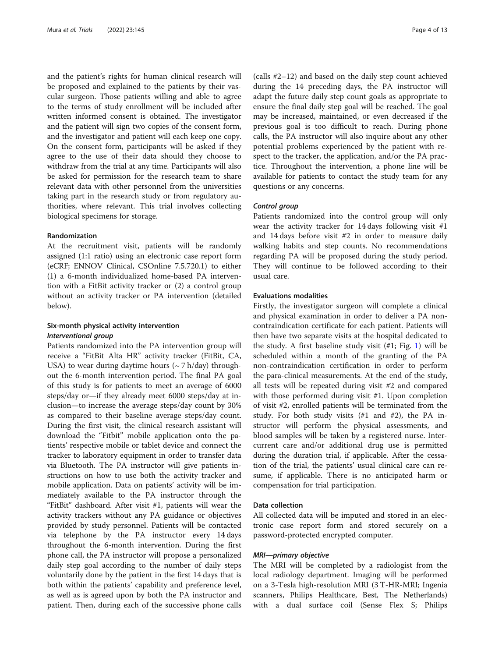and the patient's rights for human clinical research will be proposed and explained to the patients by their vascular surgeon. Those patients willing and able to agree to the terms of study enrollment will be included after written informed consent is obtained. The investigator and the patient will sign two copies of the consent form, and the investigator and patient will each keep one copy. On the consent form, participants will be asked if they agree to the use of their data should they choose to withdraw from the trial at any time. Participants will also be asked for permission for the research team to share relevant data with other personnel from the universities taking part in the research study or from regulatory authorities, where relevant. This trial involves collecting biological specimens for storage.

#### Randomization

At the recruitment visit, patients will be randomly assigned (1:1 ratio) using an electronic case report form (eCRF; ENNOV Clinical, CSOnline 7.5.720.1) to either (1) a 6-month individualized home-based PA intervention with a FitBit activity tracker or (2) a control group without an activity tracker or PA intervention (detailed below).

## Six-month physical activity intervention Interventional group

Patients randomized into the PA intervention group will receive a "FitBit Alta HR" activity tracker (FitBit, CA, USA) to wear during daytime hours  $({\sim}7 \text{ h/day})$  throughout the 6-month intervention period. The final PA goal of this study is for patients to meet an average of 6000 steps/day or—if they already meet 6000 steps/day at inclusion—to increase the average steps/day count by 30% as compared to their baseline average steps/day count. During the first visit, the clinical research assistant will download the "Fitbit" mobile application onto the patients' respective mobile or tablet device and connect the tracker to laboratory equipment in order to transfer data via Bluetooth. The PA instructor will give patients instructions on how to use both the activity tracker and mobile application. Data on patients' activity will be immediately available to the PA instructor through the "FitBit" dashboard. After visit #1, patients will wear the activity trackers without any PA guidance or objectives provided by study personnel. Patients will be contacted via telephone by the PA instructor every 14 days throughout the 6-month intervention. During the first phone call, the PA instructor will propose a personalized daily step goal according to the number of daily steps voluntarily done by the patient in the first 14 days that is both within the patients' capability and preference level, as well as is agreed upon by both the PA instructor and patient. Then, during each of the successive phone calls (calls #2–12) and based on the daily step count achieved during the 14 preceding days, the PA instructor will adapt the future daily step count goals as appropriate to ensure the final daily step goal will be reached. The goal may be increased, maintained, or even decreased if the previous goal is too difficult to reach. During phone calls, the PA instructor will also inquire about any other potential problems experienced by the patient with respect to the tracker, the application, and/or the PA practice. Throughout the intervention, a phone line will be available for patients to contact the study team for any questions or any concerns.

## Control group

Patients randomized into the control group will only wear the activity tracker for 14 days following visit #1 and 14 days before visit #2 in order to measure daily walking habits and step counts. No recommendations regarding PA will be proposed during the study period. They will continue to be followed according to their usual care.

#### Evaluations modalities

Firstly, the investigator surgeon will complete a clinical and physical examination in order to deliver a PA noncontraindication certificate for each patient. Patients will then have two separate visits at the hospital dedicated to the study. A first baseline study visit  $(\#1; Fig. 1)$  $(\#1; Fig. 1)$  will be scheduled within a month of the granting of the PA non-contraindication certification in order to perform the para-clinical measurements. At the end of the study, all tests will be repeated during visit #2 and compared with those performed during visit #1. Upon completion of visit #2, enrolled patients will be terminated from the study. For both study visits  $(\#1 \text{ and } \#2)$ , the PA instructor will perform the physical assessments, and blood samples will be taken by a registered nurse. Intercurrent care and/or additional drug use is permitted during the duration trial, if applicable. After the cessation of the trial, the patients' usual clinical care can resume, if applicable. There is no anticipated harm or compensation for trial participation.

## Data collection

All collected data will be imputed and stored in an electronic case report form and stored securely on a password-protected encrypted computer.

## MRI—primary objective

The MRI will be completed by a radiologist from the local radiology department. Imaging will be performed on a 3-Tesla high-resolution MRI (3 T-HR-MRI; Ingenia scanners, Philips Healthcare, Best, The Netherlands) with a dual surface coil (Sense Flex S; Philips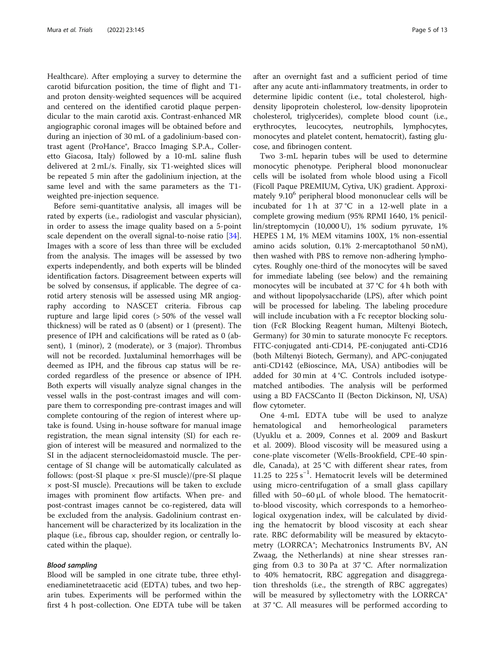Healthcare). After employing a survey to determine the carotid bifurcation position, the time of flight and T1 and proton density-weighted sequences will be acquired and centered on the identified carotid plaque perpendicular to the main carotid axis. Contrast-enhanced MR angiographic coronal images will be obtained before and during an injection of 30 mL of a gadolinium-based contrast agent (ProHance®, Bracco Imaging S.P.A., Colleretto Giacosa, Italy) followed by a 10-mL saline flush delivered at 2 mL/s. Finally, six T1-weighted slices will be repeated 5 min after the gadolinium injection, at the same level and with the same parameters as the T1 weighted pre-injection sequence.

Before semi-quantitative analysis, all images will be rated by experts (i.e., radiologist and vascular physician), in order to assess the image quality based on a 5-point scale dependent on the overall signal-to-noise ratio [\[34](#page-11-0)]. Images with a score of less than three will be excluded from the analysis. The images will be assessed by two experts independently, and both experts will be blinded identification factors. Disagreement between experts will be solved by consensus, if applicable. The degree of carotid artery stenosis will be assessed using MR angiography according to NASCET criteria. Fibrous cap rupture and large lipid cores (> 50% of the vessel wall thickness) will be rated as 0 (absent) or 1 (present). The presence of IPH and calcifications will be rated as 0 (absent), 1 (minor), 2 (moderate), or 3 (major). Thrombus will not be recorded. Juxtaluminal hemorrhages will be deemed as IPH, and the fibrous cap status will be recorded regardless of the presence or absence of IPH. Both experts will visually analyze signal changes in the vessel walls in the post-contrast images and will compare them to corresponding pre-contrast images and will complete contouring of the region of interest where uptake is found. Using in-house software for manual image registration, the mean signal intensity (SI) for each region of interest will be measured and normalized to the SI in the adjacent sternocleidomastoid muscle. The percentage of SI change will be automatically calculated as follows: (post-SI plaque  $\times$  pre-SI muscle)/(pre-SI plaque × post-SI muscle). Precautions will be taken to exclude images with prominent flow artifacts. When pre- and post-contrast images cannot be co-registered, data will be excluded from the analysis. Gadolinium contrast enhancement will be characterized by its localization in the plaque (i.e., fibrous cap, shoulder region, or centrally located within the plaque).

## Blood sampling

Blood will be sampled in one citrate tube, three ethylenediaminetetraacetic acid (EDTA) tubes, and two heparin tubes. Experiments will be performed within the first 4 h post-collection. One EDTA tube will be taken after an overnight fast and a sufficient period of time after any acute anti-inflammatory treatments, in order to determine lipidic content (i.e., total cholesterol, highdensity lipoprotein cholesterol, low-density lipoprotein cholesterol, triglycerides), complete blood count (i.e., erythrocytes, leucocytes, neutrophils, lymphocytes, monocytes and platelet content, hematocrit), fasting glucose, and fibrinogen content.

Two 3-mL heparin tubes will be used to determine monocytic phenotype. Peripheral blood mononuclear cells will be isolated from whole blood using a Ficoll (Ficoll Paque PREMIUM, Cytiva, UK) gradient. Approximately 9.10<sup>6</sup> peripheral blood mononuclear cells will be incubated for 1 h at 37 °C in a 12-well plate in a complete growing medium (95% RPMI 1640, 1% penicillin/streptomycin (10,000 U), 1% sodium pyruvate, 1% HEPES 1 M, 1% MEM vitamins 100X, 1% non-essential amino acids solution, 0.1% 2-mercaptothanol 50 nM), then washed with PBS to remove non-adhering lymphocytes. Roughly one-third of the monocytes will be saved for immediate labeling (see below) and the remaining monocytes will be incubated at 37 °C for 4 h both with and without lipopolysaccharide (LPS), after which point will be processed for labeling. The labeling procedure will include incubation with a Fc receptor blocking solution (FcR Blocking Reagent human, Miltenyi Biotech, Germany) for 30 min to saturate monocyte Fc receptors. FITC-conjugated anti-CD14, PE-conjugated anti-CD16 (both Miltenyi Biotech, Germany), and APC-conjugated anti-CD142 (eBioscince, MA, USA) antibodies will be added for 30 min at 4 °C. Controls included isotypematched antibodies. The analysis will be performed using a BD FACSCanto II (Becton Dickinson, NJ, USA) flow cytometer.

One 4-mL EDTA tube will be used to analyze hematological and hemorheological parameters (Uyuklu et a. 2009, Connes et al. 2009 and Baskurt et al. 2009). Blood viscosity will be measured using a cone-plate viscometer (Wells-Brookfield, CPE-40 spindle, Canada), at 25 °C with different shear rates, from 11.25 to 225 s−<sup>1</sup> . Hematocrit levels will be determined using micro-centrifugation of a small glass capillary filled with 50–60 μL of whole blood. The hematocritto-blood viscosity, which corresponds to a hemorheological oxygenation index, will be calculated by dividing the hematocrit by blood viscosity at each shear rate. RBC deformability will be measured by ektacytometry (LORRCA®; Mechatronics Instruments BV, AN Zwaag, the Netherlands) at nine shear stresses ranging from 0.3 to 30 Pa at 37 °C. After normalization to 40% hematocrit, RBC aggregation and disaggregation thresholds (i.e., the strength of RBC aggregates) will be measured by syllectometry with the LORRCA<sup>®</sup> at 37 °C. All measures will be performed according to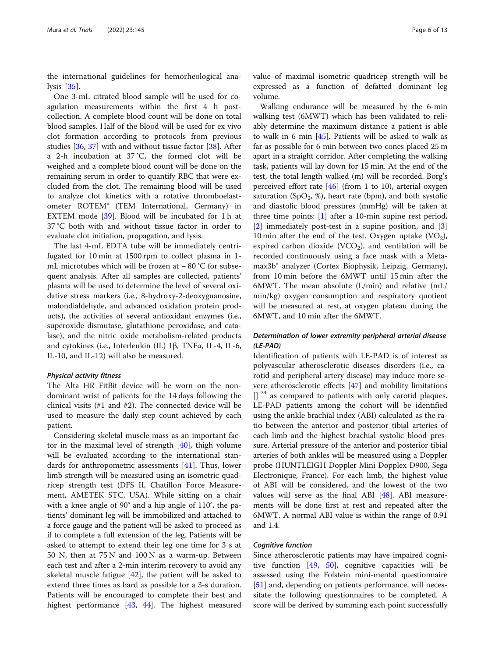the international guidelines for hemorheological analysis [\[35](#page-11-0)].

One 3-mL citrated blood sample will be used for coagulation measurements within the first 4 h postcollection. A complete blood count will be done on total blood samples. Half of the blood will be used for ex vivo clot formation according to protocols from previous studies [\[36,](#page-11-0) [37\]](#page-11-0) with and without tissue factor [\[38](#page-11-0)]. After a 2-h incubation at 37 °C, the formed clot will be weighed and a complete blood count will be done on the remaining serum in order to quantify RBC that were excluded from the clot. The remaining blood will be used to analyze clot kinetics with a rotative thromboelastometer ROTEM® (TEM International, Germany) in EXTEM mode [\[39\]](#page-11-0). Blood will be incubated for 1 h at 37 °C both with and without tissue factor in order to evaluate clot initiation, propagation, and lysis.

The last 4-mL EDTA tube will be immediately centrifugated for 10 min at 1500 rpm to collect plasma in 1 mL microtubes which will be frozen at − 80 °C for subsequent analysis. After all samples are collected, patients' plasma will be used to determine the level of several oxidative stress markers (i.e., 8-hydroxy-2-deoxyguanosine, malondialdehyde, and advanced oxidation protein products), the activities of several antioxidant enzymes (i.e., superoxide dismutase, glutathione peroxidase, and catalase), and the nitric oxide metabolism-related products and cytokines (i.e., Interleukin (IL) 1β, TNFα, IL-4, IL-6, IL-10, and IL-12) will also be measured.

## Physical activity fitness

The Alta HR FitBit device will be worn on the nondominant wrist of patients for the 14 days following the clinical visits (#1 and #2). The connected device will be used to measure the daily step count achieved by each patient.

Considering skeletal muscle mass as an important factor in the maximal level of strength [\[40\]](#page-11-0), thigh volume will be evaluated according to the international standards for anthropometric assessments [[41\]](#page-11-0). Thus, lower limb strength will be measured using an isometric quadricep strength test (DFS II, Chatillon Force Measurement, AMETEK STC, USA). While sitting on a chair with a knee angle of 90° and a hip angle of 110°, the patients' dominant leg will be immobilized and attached to a force gauge and the patient will be asked to proceed as if to complete a full extension of the leg. Patients will be asked to attempt to extend their leg one time for 3 s at 50 N, then at 75 N and 100 N as a warm-up. Between each test and after a 2-min interim recovery to avoid any skeletal muscle fatigue [\[42\]](#page-11-0), the patient will be asked to extend three times as hard as possible for a 3-s duration. Patients will be encouraged to complete their best and highest performance [\[43](#page-11-0), [44](#page-11-0)]. The highest measured value of maximal isometric quadricep strength will be expressed as a function of defatted dominant leg volume.

Walking endurance will be measured by the 6-min walking test (6MWT) which has been validated to reliably determine the maximum distance a patient is able to walk in 6 min  $[45]$  $[45]$ . Patients will be asked to walk as far as possible for 6 min between two cones placed 25 m apart in a straight corridor. After completing the walking task, patients will lay down for 15 min. At the end of the test, the total length walked (m) will be recorded. Borg's perceived effort rate  $[46]$  (from 1 to 10), arterial oxygen saturation (SpO<sub>2</sub>, %), heart rate (bpm), and both systolic and diastolic blood pressures (mmHg) will be taken at three time points: [[1\]](#page-10-0) after a 10-min supine rest period, [[2\]](#page-10-0) immediately post-test in a supine position, and [\[3](#page-10-0)] 10 min after the end of the test. Oxygen uptake  $(VO<sub>2</sub>)$ , expired carbon dioxide (VCO<sub>2</sub>), and ventilation will be recorded continuously using a face mask with a Metamax3b® analyzer (Cortex Biophysik, Leipzig, Germany), from 10 min before the 6MWT until 15 min after the 6MWT. The mean absolute (L/min) and relative (mL/ min/kg) oxygen consumption and respiratory quotient will be measured at rest, at oxygen plateau during the 6MWT, and 10 min after the 6MWT.

## Determination of lower extremity peripheral arterial disease (LE-PAD)

Identification of patients with LE-PAD is of interest as polyvascular atherosclerotic diseases disorders (i.e., carotid and peripheral artery disease) may induce more severe atherosclerotic effects [\[47\]](#page-12-0) and mobility limitations  $[$ ]<sup>-24</sup> as compared to patients with only carotid plaques. LE-PAD patients among the cohort will be identified using the ankle brachial index (ABI) calculated as the ratio between the anterior and posterior tibial arteries of each limb and the highest brachial systolic blood pressure. Arterial pressure of the anterior and posterior tibial arteries of both ankles will be measured using a Doppler probe (HUNTLEIGH Doppler Mini Dopplex D900, Sega Electronique, France). For each limb, the highest value of ABI will be considered, and the lowest of the two values will serve as the final ABI [\[48](#page-12-0)]. ABI measurements will be done first at rest and repeated after the 6MWT. A normal ABI value is within the range of 0.91 and 1.4.

## Cognitive function

Since atherosclerotic patients may have impaired cognitive function [\[49](#page-12-0), [50\]](#page-12-0), cognitive capacities will be assessed using the Folstein mini-mental questionnaire [[51\]](#page-12-0) and, depending on patients performance, will necessitate the following questionnaires to be completed. A score will be derived by summing each point successfully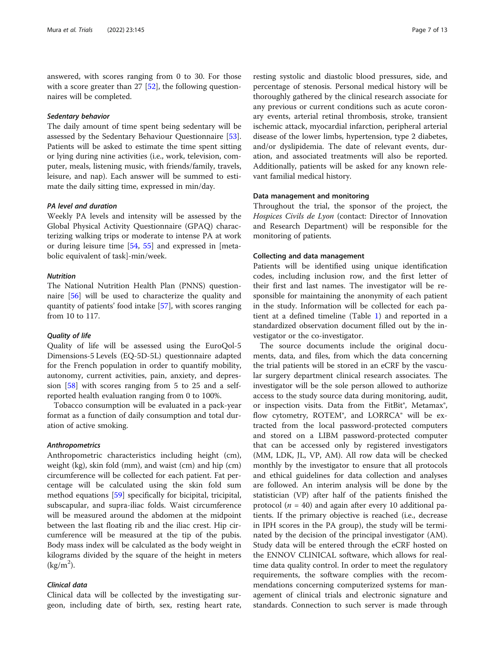answered, with scores ranging from 0 to 30. For those with a score greater than  $27 \, [52]$  $27 \, [52]$  $27 \, [52]$ , the following questionnaires will be completed.

## Sedentary behavior

The daily amount of time spent being sedentary will be assessed by the Sedentary Behaviour Questionnaire [\[53](#page-12-0)]. Patients will be asked to estimate the time spent sitting or lying during nine activities (i.e., work, television, computer, meals, listening music, with friends/family, travels, leisure, and nap). Each answer will be summed to estimate the daily sitting time, expressed in min/day.

## PA level and duration

Weekly PA levels and intensity will be assessed by the Global Physical Activity Questionnaire (GPAQ) characterizing walking trips or moderate to intense PA at work or during leisure time [\[54](#page-12-0), [55](#page-12-0)] and expressed in [metabolic equivalent of task]-min/week.

## **Nutrition**

The National Nutrition Health Plan (PNNS) questionnaire [[56\]](#page-12-0) will be used to characterize the quality and quantity of patients' food intake [[57\]](#page-12-0), with scores ranging from 10 to 117.

#### Quality of life

Quality of life will be assessed using the EuroQol-5 Dimensions-5 Levels (EQ-5D-5L) questionnaire adapted for the French population in order to quantify mobility, autonomy, current activities, pain, anxiety, and depression [\[58\]](#page-12-0) with scores ranging from 5 to 25 and a selfreported health evaluation ranging from 0 to 100%.

Tobacco consumption will be evaluated in a pack-year format as a function of daily consumption and total duration of active smoking.

#### Anthropometrics

Anthropometric characteristics including height (cm), weight (kg), skin fold (mm), and waist (cm) and hip (cm) circumference will be collected for each patient. Fat percentage will be calculated using the skin fold sum method equations [\[59](#page-12-0)] specifically for bicipital, tricipital, subscapular, and supra-iliac folds. Waist circumference will be measured around the abdomen at the midpoint between the last floating rib and the iliac crest. Hip circumference will be measured at the tip of the pubis. Body mass index will be calculated as the body weight in kilograms divided by the square of the height in meters  $\left(\frac{\text{kg}}{\text{m}^2}\right)$ .

## Clinical data

Clinical data will be collected by the investigating surgeon, including date of birth, sex, resting heart rate,

resting systolic and diastolic blood pressures, side, and percentage of stenosis. Personal medical history will be thoroughly gathered by the clinical research associate for any previous or current conditions such as acute coronary events, arterial retinal thrombosis, stroke, transient ischemic attack, myocardial infarction, peripheral arterial disease of the lower limbs, hypertension, type 2 diabetes, and/or dyslipidemia. The date of relevant events, duration, and associated treatments will also be reported. Additionally, patients will be asked for any known relevant familial medical history.

#### Data management and monitoring

Throughout the trial, the sponsor of the project, the Hospices Civils de Lyon (contact: Director of Innovation and Research Department) will be responsible for the monitoring of patients.

## Collecting and data management

Patients will be identified using unique identification codes, including inclusion row, and the first letter of their first and last names. The investigator will be responsible for maintaining the anonymity of each patient in the study. Information will be collected for each patient at a defined timeline (Table [1\)](#page-7-0) and reported in a standardized observation document filled out by the investigator or the co-investigator.

The source documents include the original documents, data, and files, from which the data concerning the trial patients will be stored in an eCRF by the vascular surgery department clinical research associates. The investigator will be the sole person allowed to authorize access to the study source data during monitoring, audit, or inspection visits. Data from the FitBit®, Metamax®, flow cytometry, ROTEM®, and LORRCA® will be extracted from the local password-protected computers and stored on a LIBM password-protected computer that can be accessed only by registered investigators (MM, LDK, JL, VP, AM). All row data will be checked monthly by the investigator to ensure that all protocols and ethical guidelines for data collection and analyses are followed. An interim analysis will be done by the statistician (VP) after half of the patients finished the protocol ( $n = 40$ ) and again after every 10 additional patients. If the primary objective is reached (i.e., decrease in IPH scores in the PA group), the study will be terminated by the decision of the principal investigator (AM). Study data will be entered through the eCRF hosted on the ENNOV CLINICAL software, which allows for realtime data quality control. In order to meet the regulatory requirements, the software complies with the recommendations concerning computerized systems for management of clinical trials and electronic signature and standards. Connection to such server is made through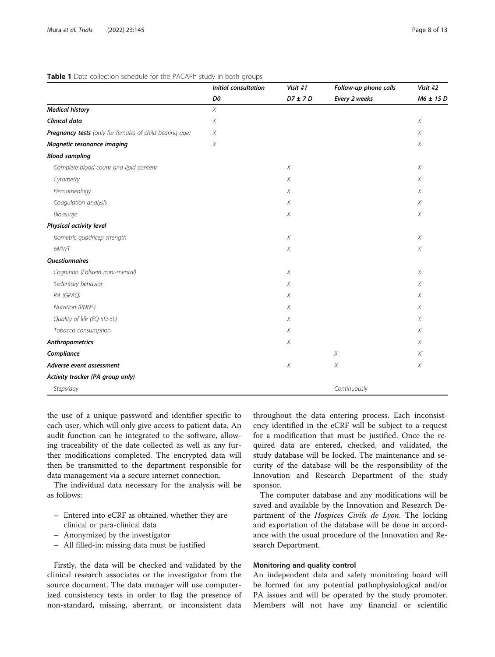## <span id="page-7-0"></span>Table 1 Data collection schedule for the PACAPh study in both groups

|                                                         | <b>Initial consultation</b><br>D0 | Visit #1<br>$D7 \pm 7D$ | Follow-up phone calls<br>Every 2 weeks | Visit #2<br>$M6 \pm 15$ D |
|---------------------------------------------------------|-----------------------------------|-------------------------|----------------------------------------|---------------------------|
|                                                         |                                   |                         |                                        |                           |
| <b>Medical history</b>                                  | $\chi$                            |                         |                                        |                           |
| <b>Clinical data</b>                                    | X                                 |                         |                                        | $\chi$                    |
| Pregnancy tests (only for females of child-bearing age) | $\chi$                            |                         |                                        | $\chi$                    |
| Magnetic resonance imaging                              | $\chi$                            |                         |                                        | $\chi$                    |
| <b>Blood sampling</b>                                   |                                   |                         |                                        |                           |
| Complete blood count and lipid content                  |                                   | $\chi$                  |                                        | $\chi$                    |
| Cytometry                                               |                                   | Χ                       |                                        | X                         |
| Hemorheology                                            |                                   | $\chi$                  |                                        | $\chi$                    |
| Coagulation analysis                                    |                                   | $\chi$                  |                                        | $\chi$                    |
| Bioassays                                               |                                   | Χ                       |                                        | $\chi$                    |
| Physical activity level                                 |                                   |                         |                                        |                           |
| Isometric quadricep strength                            |                                   | X                       |                                        | $\chi$                    |
| 6MWT                                                    |                                   | $\chi$                  |                                        | $\chi$                    |
| <b>Questionnaires</b>                                   |                                   |                         |                                        |                           |
| Cognition (Folstein mini-mental)                        |                                   | $\chi$                  |                                        | $\chi$                    |
| Sedentary behavior                                      |                                   | X                       |                                        | $\chi$                    |
| PA (GPAQ)                                               |                                   | X                       |                                        | $\chi$                    |
| Nutrition (PNNS)                                        |                                   | X                       |                                        | X                         |
| Quality of life (EQ-5D-5L)                              |                                   | $\chi$                  |                                        | X                         |
| Tobacco consumption                                     |                                   | Χ                       |                                        | X                         |
| Anthropometrics                                         |                                   | $\chi$                  |                                        | $\chi$                    |
| Compliance                                              |                                   |                         | X                                      | $\chi$                    |
| Adverse event assessment                                |                                   | $\chi$                  | $\chi$                                 | $\chi$                    |
| Activity tracker (PA group only)                        |                                   |                         |                                        |                           |
| Steps/day                                               |                                   |                         | Continuously                           |                           |

the use of a unique password and identifier specific to each user, which will only give access to patient data. An audit function can be integrated to the software, allowing traceability of the date collected as well as any further modifications completed. The encrypted data will then be transmitted to the department responsible for data management via a secure internet connection.

The individual data necessary for the analysis will be as follows:

- Entered into eCRF as obtained, whether they are clinical or para-clinical data
- Anonymized by the investigator
- All filled-in; missing data must be justified

Firstly, the data will be checked and validated by the clinical research associates or the investigator from the source document. The data manager will use computerized consistency tests in order to flag the presence of non-standard, missing, aberrant, or inconsistent data

throughout the data entering process. Each inconsistency identified in the eCRF will be subject to a request for a modification that must be justified. Once the required data are entered, checked, and validated, the study database will be locked. The maintenance and security of the database will be the responsibility of the Innovation and Research Department of the study sponsor.

The computer database and any modifications will be saved and available by the Innovation and Research Department of the Hospices Civils de Lyon. The locking and exportation of the database will be done in accordance with the usual procedure of the Innovation and Research Department.

## Monitoring and quality control

An independent data and safety monitoring board will be formed for any potential pathophysiological and/or PA issues and will be operated by the study promoter. Members will not have any financial or scientific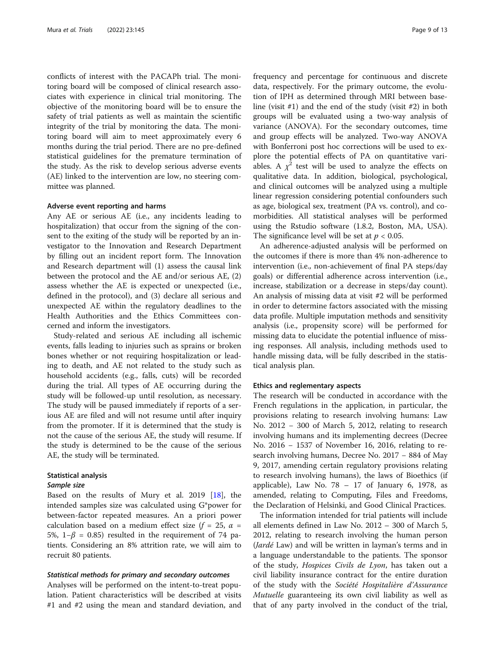conflicts of interest with the PACAPh trial. The monitoring board will be composed of clinical research associates with experience in clinical trial monitoring. The objective of the monitoring board will be to ensure the safety of trial patients as well as maintain the scientific integrity of the trial by monitoring the data. The monitoring board will aim to meet approximately every 6 months during the trial period. There are no pre-defined statistical guidelines for the premature termination of the study. As the risk to develop serious adverse events (AE) linked to the intervention are low, no steering committee was planned.

## Adverse event reporting and harms

Any AE or serious AE (i.e., any incidents leading to hospitalization) that occur from the signing of the consent to the exiting of the study will be reported by an investigator to the Innovation and Research Department by filling out an incident report form. The Innovation and Research department will (1) assess the causal link between the protocol and the AE and/or serious AE, (2) assess whether the AE is expected or unexpected (i.e., defined in the protocol), and (3) declare all serious and unexpected AE within the regulatory deadlines to the Health Authorities and the Ethics Committees concerned and inform the investigators.

Study-related and serious AE including all ischemic events, falls leading to injuries such as sprains or broken bones whether or not requiring hospitalization or leading to death, and AE not related to the study such as household accidents (e.g., falls, cuts) will be recorded during the trial. All types of AE occurring during the study will be followed-up until resolution, as necessary. The study will be paused immediately if reports of a serious AE are filed and will not resume until after inquiry from the promoter. If it is determined that the study is not the cause of the serious AE, the study will resume. If the study is determined to be the cause of the serious AE, the study will be terminated.

## Statistical analysis

#### Sample size

Based on the results of Mury et al. 2019 [\[18](#page-11-0)], the intended samples size was calculated using G\*power for between-factor repeated measures. An a priori power calculation based on a medium effect size  $(f = 25, \alpha =$ 5%, 1−β = 0.85) resulted in the requirement of 74 patients. Considering an 8% attrition rate, we will aim to recruit 80 patients.

## Statistical methods for primary and secondary outcomes

Analyses will be performed on the intent-to-treat population. Patient characteristics will be described at visits #1 and #2 using the mean and standard deviation, and frequency and percentage for continuous and discrete data, respectively. For the primary outcome, the evolution of IPH as determined through MRI between baseline (visit #1) and the end of the study (visit #2) in both groups will be evaluated using a two-way analysis of variance (ANOVA). For the secondary outcomes, time and group effects will be analyzed. Two-way ANOVA with Bonferroni post hoc corrections will be used to explore the potential effects of PA on quantitative variables. A  $\chi^2$  test will be used to analyze the effects on qualitative data. In addition, biological, psychological, and clinical outcomes will be analyzed using a multiple linear regression considering potential confounders such as age, biological sex, treatment (PA vs. control), and comorbidities. All statistical analyses will be performed using the Rstudio software (1.8.2, Boston, MA, USA). The significance level will be set at  $p < 0.05$ .

An adherence-adjusted analysis will be performed on the outcomes if there is more than 4% non-adherence to intervention (i.e., non-achievement of final PA steps/day goals) or differential adherence across intervention (i.e., increase, stabilization or a decrease in steps/day count). An analysis of missing data at visit #2 will be performed in order to determine factors associated with the missing data profile. Multiple imputation methods and sensitivity analysis (i.e., propensity score) will be performed for missing data to elucidate the potential influence of missing responses. All analysis, including methods used to handle missing data, will be fully described in the statistical analysis plan.

## Ethics and reglementary aspects

The research will be conducted in accordance with the French regulations in the application, in particular, the provisions relating to research involving humans: Law No. 2012 − 300 of March 5, 2012, relating to research involving humans and its implementing decrees (Decree No. 2016 − 1537 of November 16, 2016, relating to research involving humans, Decree No. 2017 – 884 of May 9, 2017, amending certain regulatory provisions relating to research involving humans), the laws of Bioethics (if applicable), Law No.  $78 - 17$  of January 6, 1978, as amended, relating to Computing, Files and Freedoms, the Declaration of Helsinki, and Good Clinical Practices.

The information intended for trial patients will include all elements defined in Law No. 2012 – 300 of March 5, 2012, relating to research involving the human person (*Jardé* Law) and will be written in layman's terms and in a language understandable to the patients. The sponsor of the study, Hospices Civils de Lyon, has taken out a civil liability insurance contract for the entire duration of the study with the Société Hospitalière d'Assurance Mutuelle guaranteeing its own civil liability as well as that of any party involved in the conduct of the trial,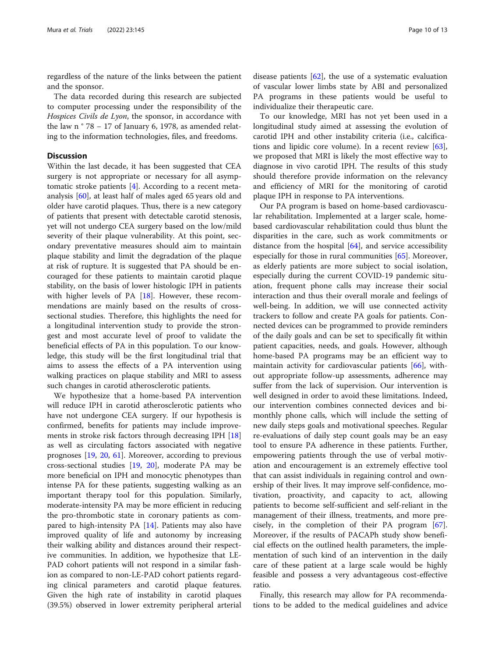regardless of the nature of the links between the patient and the sponsor.

The data recorded during this research are subjected to computer processing under the responsibility of the Hospices Civils de Lyon, the sponsor, in accordance with the law n ° 78 − 17 of January 6, 1978, as amended relating to the information technologies, files, and freedoms.

## **Discussion**

Within the last decade, it has been suggested that CEA surgery is not appropriate or necessary for all asymptomatic stroke patients [[4](#page-10-0)]. According to a recent metaanalysis [\[60](#page-12-0)], at least half of males aged 65 years old and older have carotid plaques. Thus, there is a new category of patients that present with detectable carotid stenosis, yet will not undergo CEA surgery based on the low/mild severity of their plaque vulnerability. At this point, secondary preventative measures should aim to maintain plaque stability and limit the degradation of the plaque at risk of rupture. It is suggested that PA should be encouraged for these patients to maintain carotid plaque stability, on the basis of lower histologic IPH in patients with higher levels of PA [\[18](#page-11-0)]. However, these recommendations are mainly based on the results of crosssectional studies. Therefore, this highlights the need for a longitudinal intervention study to provide the strongest and most accurate level of proof to validate the beneficial effects of PA in this population. To our knowledge, this study will be the first longitudinal trial that aims to assess the effects of a PA intervention using walking practices on plaque stability and MRI to assess such changes in carotid atherosclerotic patients.

We hypothesize that a home-based PA intervention will reduce IPH in carotid atherosclerotic patients who have not undergone CEA surgery. If our hypothesis is confirmed, benefits for patients may include improvements in stroke risk factors through decreasing IPH [[18](#page-11-0)] as well as circulating factors associated with negative prognoses [[19,](#page-11-0) [20](#page-11-0), [61\]](#page-12-0). Moreover, according to previous cross-sectional studies [[19,](#page-11-0) [20](#page-11-0)], moderate PA may be more beneficial on IPH and monocytic phenotypes than intense PA for these patients, suggesting walking as an important therapy tool for this population. Similarly, moderate-intensity PA may be more efficient in reducing the pro-thrombotic state in coronary patients as compared to high-intensity PA [[14\]](#page-11-0). Patients may also have improved quality of life and autonomy by increasing their walking ability and distances around their respective communities. In addition, we hypothesize that LE-PAD cohort patients will not respond in a similar fashion as compared to non-LE-PAD cohort patients regarding clinical parameters and carotid plaque features. Given the high rate of instability in carotid plaques (39.5%) observed in lower extremity peripheral arterial

disease patients [[62](#page-12-0)], the use of a systematic evaluation of vascular lower limbs state by ABI and personalized PA programs in these patients would be useful to individualize their therapeutic care.

To our knowledge, MRI has not yet been used in a longitudinal study aimed at assessing the evolution of carotid IPH and other instability criteria (i.e., calcifications and lipidic core volume). In a recent review [\[63](#page-12-0)], we proposed that MRI is likely the most effective way to diagnose in vivo carotid IPH. The results of this study should therefore provide information on the relevancy and efficiency of MRI for the monitoring of carotid plaque IPH in response to PA interventions.

Our PA program is based on home-based cardiovascular rehabilitation. Implemented at a larger scale, homebased cardiovascular rehabilitation could thus blunt the disparities in the care, such as work commitments or distance from the hospital  $[64]$  $[64]$ , and service accessibility especially for those in rural communities [\[65](#page-12-0)]. Moreover, as elderly patients are more subject to social isolation, especially during the current COVID-19 pandemic situation, frequent phone calls may increase their social interaction and thus their overall morale and feelings of well-being. In addition, we will use connected activity trackers to follow and create PA goals for patients. Connected devices can be programmed to provide reminders of the daily goals and can be set to specifically fit within patient capacities, needs, and goals. However, although home-based PA programs may be an efficient way to maintain activity for cardiovascular patients [[66](#page-12-0)], without appropriate follow-up assessments, adherence may suffer from the lack of supervision. Our intervention is well designed in order to avoid these limitations. Indeed, our intervention combines connected devices and bimonthly phone calls, which will include the setting of new daily steps goals and motivational speeches. Regular re-evaluations of daily step count goals may be an easy tool to ensure PA adherence in these patients. Further, empowering patients through the use of verbal motivation and encouragement is an extremely effective tool that can assist individuals in regaining control and ownership of their lives. It may improve self-confidence, motivation, proactivity, and capacity to act, allowing patients to become self-sufficient and self-reliant in the management of their illness, treatments, and more precisely, in the completion of their PA program [\[67](#page-12-0)]. Moreover, if the results of PACAPh study show beneficial effects on the outlined health parameters, the implementation of such kind of an intervention in the daily care of these patient at a large scale would be highly feasible and possess a very advantageous cost-effective ratio.

Finally, this research may allow for PA recommendations to be added to the medical guidelines and advice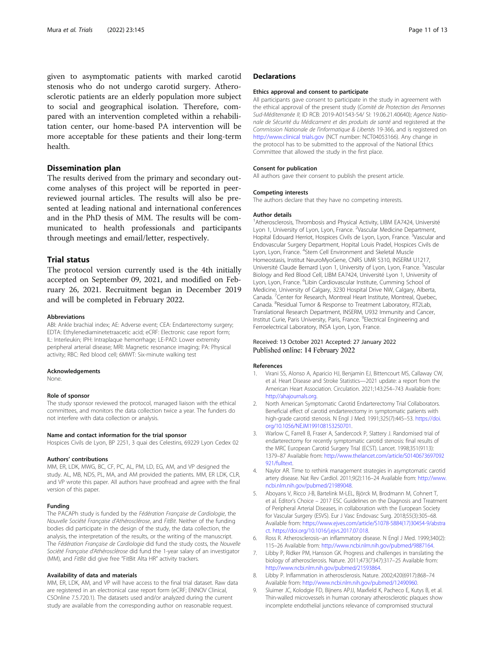<span id="page-10-0"></span>given to asymptomatic patients with marked carotid stenosis who do not undergo carotid surgery. Atherosclerotic patients are an elderly population more subject to social and geographical isolation. Therefore, compared with an intervention completed within a rehabilitation center, our home-based PA intervention will be more acceptable for these patients and their long-term health.

## Dissemination plan

The results derived from the primary and secondary outcome analyses of this project will be reported in peerreviewed journal articles. The results will also be presented at leading national and international conferences and in the PhD thesis of MM. The results will be communicated to health professionals and participants through meetings and email/letter, respectively.

## Trial status

The protocol version currently used is the 4th initially accepted on September 09, 2021, and modified on February 26, 2021. Recruitment began in December 2019 and will be completed in February 2022.

#### Abbreviations

ABI: Ankle brachial index; AE: Adverse event; CEA: Endarterectomy surgery; EDTA: Ethylenediaminetetraacetic acid; eCRF: Electronic case report form; IL: Interleukin; IPH: Intraplaque hemorrhage; LE-PAD: Lower extremity peripheral arterial disease; MRI: Magnetic resonance imaging; PA: Physical activity; RBC: Red blood cell; 6MWT: Six-minute walking test

#### Acknowledgements

None.

#### Role of sponsor

The study sponsor reviewed the protocol, managed liaison with the ethical committees, and monitors the data collection twice a year. The funders do not interfere with data collection or analysis.

#### Name and contact information for the trial sponsor

Hospices Civils de Lyon, BP 2251, 3 quai des Celestins, 69229 Lyon Cedex 02

#### Authors' contributions

MM, ER, LDK, MWG, BC, CF, PC, AL, PM, LD, EG, AM, and VP designed the study. AL, MB, NDS, PL, MA, and AM provided the patients. MM, ER LDK, CLR, and VP wrote this paper. All authors have proofread and agree with the final version of this paper.

#### Funding

The PACAPh study is funded by the Fédération Française de Cardiologie, the Nouvelle Société Française d'Athérosclérose, and FitBit. Neither of the funding bodies did participate in the design of the study, the data collection, the analysis, the interpretation of the results, or the writing of the manuscript. The Fédération Française de Cardiologie did fund the study costs, the Nouvelle Société Française d'Athérosclérose did fund the 1-year salary of an investigator (MM), and FitBit did give free "FitBit Alta HR" activity trackers.

#### Availability of data and materials

MM, ER, LDK, AM, and VP will have access to the final trial dataset. Raw data are registered in an electronical case report form (eCRF; ENNOV Clinical, CSOnline 7.5.720.1). The datasets used and/or analyzed during the current study are available from the corresponding author on reasonable request.

## **Declarations**

#### Ethics approval and consent to participate

All participants gave consent to participate in the study in agreement with the ethical approval of the present study (Comité de Protection des Personnes Sud-Méditerranée II; ID RCB: 2019-A01543-54/ SI: 19.06.21.40640); Agence Nationale de Sécurité du Médicament et des produits de santé and registered at the Commission Nationale de l'informatique & Libertés 19-366, and is registered on <http://www.clinical> [trials.gov](http://trials.gov) (NCT number: NCT04053166). Any change in the protocol has to be submitted to the approval of the National Ethics Committee that allowed the study in the first place.

#### Consent for publication

All authors gave their consent to publish the present article.

#### Competing interests

The authors declare that they have no competing interests.

### Author details

<sup>1</sup> Atherosclerosis, Thrombosis and Physical Activity, LIBM EA7424, Université Lyon 1, University of Lyon, Lyon, France. <sup>2</sup>Vascular Medicine Department, Hopital Edouard Herriot, Hospices Civils de Lyon, Lyon, France. <sup>3</sup>Vascular and Endovascular Surgery Department, Hopital Louis Pradel, Hospices Civils de Lyon, Lyon, France. <sup>4</sup>Stem Cell Environment and Skeletal Muscle Homeostasis, Institut NeuroMyoGene, CNRS UMR 5310, INSERM U1217, Université Claude Bernard Lyon 1, University of Lyon, Lyon, France. <sup>5</sup>Vascular Biology and Red Blood Cell, LIBM EA7424, Université Lyon 1, University of Lyon, Lyon, France. <sup>6</sup>Libin Cardiovascular Institute, Cumming School of Medicine, University of Calgary, 3230 Hospital Drive NW, Calgary, Alberta, Canada. <sup>7</sup> Center for Research, Montreal Heart Institute, Montreal, Quebec, Canada. <sup>8</sup>Residual Tumor & Response to Treatment Laboratory, RT2Lab Translational Research Department, INSERM, U932 Immunity and Cancer, Institut Curie, Paris University, Paris, France. <sup>9</sup>Electrical Engineering and Ferroelectrical Laboratory, INSA Lyon, Lyon, France.

## Received: 13 October 2021 Accepted: 27 January 2022 Published online: 14 February 2022

#### References

- 1. Virani SS, Alonso A, Aparicio HJ, Benjamin EJ, Bittencourt MS, Callaway CW, et al. Heart Disease and Stroke Statistics—2021 update: a report from the American Heart Association. Circulation. 2021;143:254–743 Available from: [http://ahajournals.org.](http://ahajournals.org)
- 2. North American Symptomatic Carotid Endarterectomy Trial Collaborators. Beneficial effect of carotid endarterectomy in symptomatic patients with high-grade carotid stenosis. N Engl J Med. 1991;325(7):445-53. [https://doi.](https://doi.org/10.1056/NEJM199108153250701) [org/10.1056/NEJM199108153250701.](https://doi.org/10.1056/NEJM199108153250701)
- Warlow C, Farrell B, Fraser A, Sandercock P, Slattery J. Randomised trial of endarterectomy for recently symptomatic carotid stenosis: final results of the MRC European Carotid Surgery Trial (ECST). Lancet. 1998;351(9113): 1379–87 Available from: [http://www.thelancet.com/article/S0140673697092](http://www.thelancet.com/article/S0140673697092921/fulltext) [921/fulltext.](http://www.thelancet.com/article/S0140673697092921/fulltext)
- 4. Naylor AR. Time to rethink management strategies in asymptomatic carotid artery disease. Nat Rev Cardiol. 2011;9(2):116–24 Available from: [http://www.](http://www.ncbi.nlm.nih.gov/pubmed/21989048) [ncbi.nlm.nih.gov/pubmed/21989048](http://www.ncbi.nlm.nih.gov/pubmed/21989048).
- 5. Aboyans V, Ricco J-B, Bartelink M-LEL, Björck M, Brodmann M, Cohnert T, et al. Editor's Choice – 2017 ESC Guidelines on the Diagnosis and Treatment of Peripheral Arterial Diseases, in collaboration with the European Society for Vascular Surgery (ESVS). Eur J Vasc Endovasc Surg. 2018;55(3):305–68. Available from: [https://www.ejves.com/article/S1078-5884\(17\)30454-9/abstra](https://www.ejves.com/article/S1078-5884(17)30454-9/abstract) [ct.](https://www.ejves.com/article/S1078-5884(17)30454-9/abstract) <https://doi.org/10.1016/j.ejvs.2017.07.018>.
- 6. Ross R. Atherosclerosis--an inflammatory disease. N Engl J Med. 1999;340(2): 115–26 Available from: <http://www.ncbi.nlm.nih.gov/pubmed/9887164>.
- 7. Libby P, Ridker PM, Hansson GK. Progress and challenges in translating the biology of atherosclerosis. Nature. 2011;473(7347):317–25 Available from: [http://www.ncbi.nlm.nih.gov/pubmed/21593864.](http://www.ncbi.nlm.nih.gov/pubmed/21593864)
- 8. Libby P. Inflammation in atherosclerosis. Nature. 2002;420(6917):868–74 Available from: <http://www.ncbi.nlm.nih.gov/pubmed/12490960>.
- 9. Sluimer JC, Kolodgie FD, Bijnens APJJ, Maxfield K, Pacheco E, Kutys B, et al. Thin-walled microvessels in human coronary atherosclerotic plaques show incomplete endothelial junctions relevance of compromised structural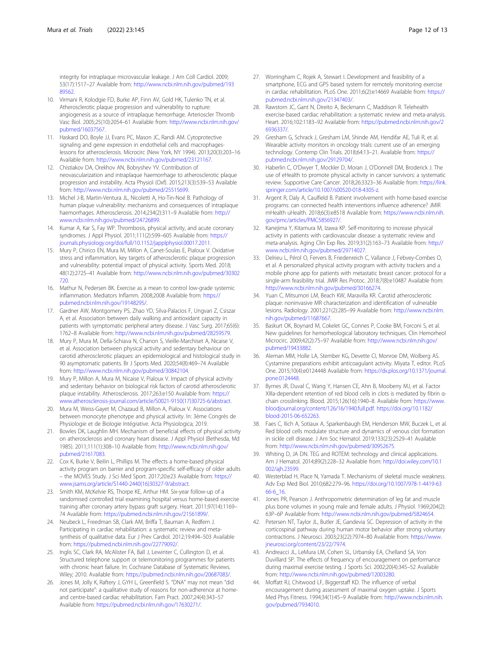<span id="page-11-0"></span>integrity for intraplaque microvascular leakage. J Am Coll Cardiol. 2009; 53(17):1517–27 Available from: [http://www.ncbi.nlm.nih.gov/pubmed/193](http://www.ncbi.nlm.nih.gov/pubmed/19389562) [89562.](http://www.ncbi.nlm.nih.gov/pubmed/19389562)

- 10. Virmani R, Kolodgie FD, Burke AP, Finn AV, Gold HK, Tulenko TN, et al. Atherosclerotic plaque progression and vulnerability to rupture: angiogenesis as a source of intraplaque hemorrhage. Arterioscler Thromb Vasc Biol. 2005;25(10):2054–61 Available from: [http://www.ncbi.nlm.nih.gov/](http://www.ncbi.nlm.nih.gov/pubmed/16037567) [pubmed/16037567.](http://www.ncbi.nlm.nih.gov/pubmed/16037567)
- 11. Haskard DO, Boyle JJ, Evans PC, Mason JC, Randi AM. Cytoprotective signaling and gene expression in endothelial cells and macrophageslessons for atherosclerosis. Microcirc (New York, NY 1994). 2013;20(3):203–16 Available from: <http://www.ncbi.nlm.nih.gov/pubmed/23121167>.
- 12. Chistiakov DA, Orekhov AN, Bobryshev YV. Contribution of neovascularization and intraplaque haemorrhage to atherosclerotic plaque progression and instability. Acta Physiol (Oxf). 2015;213(3):539–53 Available from: <http://www.ncbi.nlm.nih.gov/pubmed/25515699>.
- 13. Michel J-B, Martin-Ventura JL, Nicoletti A, Ho-Tin-Noé B. Pathology of human plaque vulnerability: mechanisms and consequences of intraplaque haemorrhages. Atherosclerosis. 2014;234(2):311–9 Available from: [http://](http://www.ncbi.nlm.nih.gov/pubmed/24726899) [www.ncbi.nlm.nih.gov/pubmed/24726899.](http://www.ncbi.nlm.nih.gov/pubmed/24726899)
- 14. Kumar A, Kar S, Fay WP. Thrombosis, physical activity, and acute coronary syndromes. J Appl Physiol. 2011;111(2):599–605 Available from: [https://](https://journals.physiology.org/doi/full/10.1152/japplphysiol.00017.2011) [journals.physiology.org/doi/full/10.1152/japplphysiol.00017.2011.](https://journals.physiology.org/doi/full/10.1152/japplphysiol.00017.2011)
- 15. Mury P, Chirico EN, Mura M, Millon A, Canet-Soulas E, Pialoux V. Oxidative stress and inflammation, key targets of atherosclerotic plaque progression and vulnerability: potential impact of physical activity. Sports Med. 2018; 48(12):2725–41 Available from: [http://www.ncbi.nlm.nih.gov/pubmed/30302](http://www.ncbi.nlm.nih.gov/pubmed/30302720) [720.](http://www.ncbi.nlm.nih.gov/pubmed/30302720)
- 16. Mathur N, Pedersen BK. Exercise as a mean to control low-grade systemic inflammation. Mediators Inflamm. 2008;2008 Available from: [https://](https://pubmed.ncbi.nlm.nih.gov/19148295/) [pubmed.ncbi.nlm.nih.gov/19148295/](https://pubmed.ncbi.nlm.nih.gov/19148295/).
- 17. Gardner AW, Montgomery PS, Zhao YD, Silva-Palacios F, Ungvari Z, Csiszar A, et al. Association between daily walking and antioxidant capacity in patients with symptomatic peripheral artery disease. J Vasc Surg. 2017;65(6): 1762–8 Available from: [http://www.ncbi.nlm.nih.gov/pubmed/28259579.](http://www.ncbi.nlm.nih.gov/pubmed/28259579)
- 18. Mury P, Mura M, Della-Schiava N, Chanon S, Vieille-Marchiset A, Nicaise V, et al. Association between physical activity and sedentary behaviour on carotid atherosclerotic plaques: an epidemiological and histological study in 90 asymptomatic patients. Br J Sports Med. 2020;54(8):469–74 Available from: <http://www.ncbi.nlm.nih.gov/pubmed/30842104>.
- 19. Mury P, Millon A, Mura M, Nicaise V, Pialoux V. Impact of physical activity and sedentary behavior on biological risk factors of carotid atherosclerotic plaque instability. Atherosclerosis. 2017;263:e150 Available from: [https://](https://www.atherosclerosis-journal.com/article/S0021-9150(17)30725-6/abstract) [www.atherosclerosis-journal.com/article/S0021-9150\(17\)30725-6/abstract.](https://www.atherosclerosis-journal.com/article/S0021-9150(17)30725-6/abstract)
- 20. Mura M, Weiss-Gayet M, Chazaud B, Millon A, Pialoux V. Associations between monocyte phenotype and physical activity. In: 3ème Congrès de Physiologie et de Biologie Intégrative. Acta Physiologica; 2019.
- 21. Bowles DK, Laughlin MH. Mechanism of beneficial effects of physical activity on atherosclerosis and coronary heart disease. J Appl Physiol (Bethesda, Md 1985). 2011;111(1):308–10 Available from: [http://www.ncbi.nlm.nih.gov/](http://www.ncbi.nlm.nih.gov/pubmed/21617083) [pubmed/21617083.](http://www.ncbi.nlm.nih.gov/pubmed/21617083)
- 22. Cox K, Burke V, Beilin L, Phillips M. The effects a home-based physical activity program on barrier and program-specific self-efficacy of older adults – the MOVES Study. J Sci Med Sport. 2017;20:e23 Available from: [https://](https://www.jsams.org/article/S1440-2440(16)30327-9/abstract) [www.jsams.org/article/S1440-2440\(16\)30327-9/abstract](https://www.jsams.org/article/S1440-2440(16)30327-9/abstract).
- 23. Smith KM, McKelvie RS, Thorpe KE, Arthur HM. Six-year follow-up of a randomised controlled trial examining hospital versus home-based exercise training after coronary artery bypass graft surgery. Heart. 2011;97(14):1169– 74 Available from: <https://pubmed.ncbi.nlm.nih.gov/21561899/>.
- 24. Neubeck L, Freedman SB, Clark AM, Briffa T, Bauman A, Redfern J. Participating in cardiac rehabilitation: a systematic review and metasynthesis of qualitative data. Eur J Prev Cardiol. 2012;19:494–503 Available from: [https://pubmed.ncbi.nlm.nih.gov/22779092/.](https://pubmed.ncbi.nlm.nih.gov/22779092/)
- 25. Inglis SC, Clark RA, McAlister FA, Ball J, Lewinter C, Cullington D, et al. Structured telephone support or telemonitoring programmes for patients with chronic heart failure. In: Cochrane Database of Systematic Reviews. Wiley; 2010. Available from: [https://pubmed.ncbi.nlm.nih.gov/20687083/.](https://pubmed.ncbi.nlm.nih.gov/20687083/)
- 26. Jones M, Jolly K, Raftery J, GYH L, Greenfield S. "DNA" may not mean "did not participate": a qualitative study of reasons for non-adherence at homeand centre-based cardiac rehabilitation. Fam Pract. 2007;24(4):343–57 Available from: <https://pubmed.ncbi.nlm.nih.gov/17630271/>.
- 27. Worringham C, Rojek A, Stewart I. Development and feasibility of a smartphone, ECG and GPS based system for remotely monitoring exercise in cardiac rehabilitation. PLoS One. 2011;6(2):e14669 Available from: [https://](https://pubmed.ncbi.nlm.nih.gov/21347403/) [pubmed.ncbi.nlm.nih.gov/21347403/](https://pubmed.ncbi.nlm.nih.gov/21347403/).
- 28. Rawstorn JC, Gant N, Direito A, Beckmann C, Maddison R. Telehealth exercise-based cardiac rehabilitation: a systematic review and meta-analysis. Heart. 2016;102:1183–92 Available from: [https://pubmed.ncbi.nlm.nih.gov/2](https://pubmed.ncbi.nlm.nih.gov/26936337/) [6936337/](https://pubmed.ncbi.nlm.nih.gov/26936337/).
- 29. Gresham G, Schrack J, Gresham LM, Shinde AM, Hendifar AE, Tuli R, et al. Wearable activity monitors in oncology trials: current use of an emerging technology. Contemp Clin Trials. 2018;64:13–21. Available from: [https://](https://pubmed.ncbi.nlm.nih.gov/29129704/) [pubmed.ncbi.nlm.nih.gov/29129704/](https://pubmed.ncbi.nlm.nih.gov/29129704/).
- 30. Haberlin C, O'Dwyer T, Mockler D, Moran J, O'Donnell DM, Broderick J. The use of eHealth to promote physical activity in cancer survivors: a systematic review. Supportive Care Cancer. 2018;26:3323–36 Available from: [https://link.](https://link.springer.com/article/10.1007/s00520-018-4305-z) [springer.com/article/10.1007/s00520-018-4305-z](https://link.springer.com/article/10.1007/s00520-018-4305-z).
- 31. Argent R, Daly A, Caulfield B. Patient involvement with home-based exercise programs: can connected health interventions influence adherence? JMIR mHealth uHealth. 2018;6(3):e8518 Available from: [https://www.ncbi.nlm.nih.](https://www.ncbi.nlm.nih.gov/pmc/articles/PMC5856927/) [gov/pmc/articles/PMC5856927/.](https://www.ncbi.nlm.nih.gov/pmc/articles/PMC5856927/)
- 32. Kanejima Y, Kitamura M, Izawa KP. Self-monitoring to increase physical activity in patients with cardiovascular disease: a systematic review and meta-analysis. Aging Clin Exp Res. 2019;31(2):163–73 Available from: [http://](http://www.ncbi.nlm.nih.gov/pubmed/29714027) [www.ncbi.nlm.nih.gov/pubmed/29714027.](http://www.ncbi.nlm.nih.gov/pubmed/29714027)
- 33. Delrieu L, Pérol O, Fervers B, Friedenreich C, Vallance J, Febvey-Combes O, et al. A personalized physical activity program with activity trackers and a mobile phone app for patients with metastatic breast cancer: protocol for a single-arm feasibility trial. JMIR Res Protoc. 2018;7(8):e10487 Available from: [http://www.ncbi.nlm.nih.gov/pubmed/30166274.](http://www.ncbi.nlm.nih.gov/pubmed/30166274)
- 34. Yuan C, Mitsumori LM, Beach KW, Maravilla KR. Carotid atherosclerotic plaque: noninvasive MR characterization and identification of vulnerable lesions. Radiology. 2001;221(2):285–99 Available from: [http://www.ncbi.nlm.](http://www.ncbi.nlm.nih.gov/pubmed/11687667) [nih.gov/pubmed/11687667](http://www.ncbi.nlm.nih.gov/pubmed/11687667).
- Baskurt OK, Boynard M, Cokelet GC, Connes P, Cooke BM, Forconi S, et al. New guidelines for hemorheological laboratory techniques. Clin Hemorheol Microcirc. 2009;42(2):75–97 Available from: [http://www.ncbi.nlm.nih.gov/](http://www.ncbi.nlm.nih.gov/pubmed/19433882) [pubmed/19433882.](http://www.ncbi.nlm.nih.gov/pubmed/19433882)
- 36. Aleman MM, Holle LA, Stember KG, Devette CI, Monroe DM, Wolberg AS. Cystamine preparations exhibit anticoagulant activity. Miyata T, editor. PLoS One. 2015;10(4):e0124448 Available from: [https://dx.plos.org/10.1371/journal.](https://dx.plos.org/10.1371/journal.pone.0124448) [pone.0124448.](https://dx.plos.org/10.1371/journal.pone.0124448)
- 37. Byrnes JR, Duval C, Wang Y, Hansen CE, Ahn B, Mooberry MJ, et al. Factor XIIIa-dependent retention of red blood cells in clots is mediated by fibrin αchain crosslinking. Blood. 2015;126(16):1940–8. Available from: [https://www.](https://www.bloodjournal.org/content/126/16/1940.full.pdf) [bloodjournal.org/content/126/16/1940.full.pdf](https://www.bloodjournal.org/content/126/16/1940.full.pdf). [https://doi.org/10.1182/](https://doi.org/10.1182/blood-2015-06-652263) [blood-2015-06-652263.](https://doi.org/10.1182/blood-2015-06-652263)
- 38. Faes C, Ilich A, Sotiaux A, Sparkenbaugh EM, Henderson MW, Buczek L, et al. Red blood cells modulate structure and dynamics of venous clot formation in sickle cell disease. J Am Soc Hematol. 2019;133(23):2529–41 Available from: [http://www.ncbi.nlm.nih.gov/pubmed/30952675.](http://www.ncbi.nlm.nih.gov/pubmed/30952675)
- 39. Whiting D, JA DN. TEG and ROTEM: technology and clinical applications. Am J Hematol. 2014;89(2):228–32 Available from: [http://doi.wiley.com/10.1](http://doi.wiley.com/10.1002/ajh.23599) [002/ajh.23599](http://doi.wiley.com/10.1002/ajh.23599).
- 40. Westerblad H, Place N, Yamada T. Mechanisms of skeletal muscle weakness. Adv Exp Med Biol. 2010;682:279–96. [https://doi.org/10.1007/978-1-4419-63](https://doi.org/10.1007/978-1-4419-6366-6_16) [66-6\\_16](https://doi.org/10.1007/978-1-4419-6366-6_16).
- 41. Jones PR, Pearson J. Anthropometric determination of leg fat and muscle plus bone volumes in young male and female adults. J Physiol. 1969;204(2): 63P–6P Available from: [http://www.ncbi.nlm.nih.gov/pubmed/5824654.](http://www.ncbi.nlm.nih.gov/pubmed/5824654)
- 42. Petersen NT, Taylor JL, Butler JE, Gandevia SC. Depression of activity in the corticospinal pathway during human motor behavior after strong voluntary contractions. J Neurosci. 2003;23(22):7974–80 Available from: [https://www.](https://www.jneurosci.org/content/23/22/7974) [jneurosci.org/content/23/22/7974](https://www.jneurosci.org/content/23/22/7974).
- 43. Andreacci JL, LeMura LM, Cohen SL, Urbansky EA, Chelland SA, Von Duvillard SP. The effects of frequency of encouragement on performance during maximal exercise testing. J Sports Sci. 2002;20(4):345–52 Available from: [http://www.ncbi.nlm.nih.gov/pubmed/12003280.](http://www.ncbi.nlm.nih.gov/pubmed/12003280)
- 44. Moffatt RJ, Chitwood LF, Biggerstaff KD. The influence of verbal encouragement during assessment of maximal oxygen uptake. J Sports Med Phys Fitness. 1994;34(1):45–9 Available from: [http://www.ncbi.nlm.nih.](http://www.ncbi.nlm.nih.gov/pubmed/7934010) [gov/pubmed/7934010.](http://www.ncbi.nlm.nih.gov/pubmed/7934010)